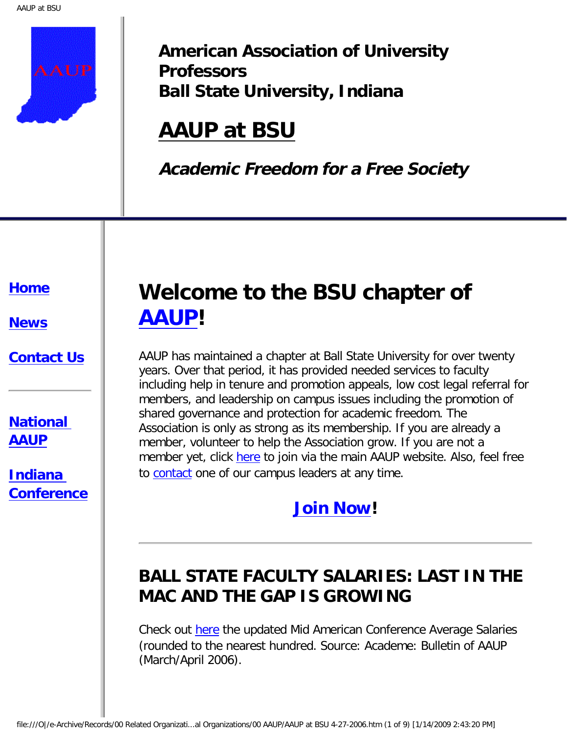

**American Association of University Professors Ball State University, Indiana**

# **AAUP at BSU**

**Academic Freedom for a Free Society**

#### **[Home](http://www.aaupatbsu.org/home.htm)**

**[News](http://www.aaupatbsu.org/MACsalaries06.htm)**

#### **[Contact Us](http://www.aaupatbsu.org/contact.htm)**

**[National](http://www.aaup.org/)  [AAUP](http://www.aaup.org/)**

**[Indiana](http://www.inaaup.org/) [Conference](http://www.inaaup.org/)**

# **Welcome to the BSU chapter of [AAUP](http://www.aaup.org/)!**

AAUP has maintained a chapter at Ball State University for over twenty years. Over that period, it has provided needed services to faculty including help in tenure and promotion appeals, low cost legal referral for members, and leadership on campus issues including the promotion of shared governance and protection for academic freedom. The Association is only as strong as its membership. If you are already a member, volunteer to help the Association grow. If you are not a member yet, click [here](http://www.aaup.org/membership/joinaaup.htm) to join via the main AAUP website. Also, feel free to [contact](http://www.aaupatbsu.org/contact.htm) one of our campus leaders at any time.

### **[Join Now!](http://www.aaup.org/membership/joinaaup.htm)**

## **BALL STATE FACULTY SALARIES: LAST IN THE MAC AND THE GAP IS GROWING**

Check out [here](http://www.aaupatbsu.org/MACsalaries06.htm) the updated Mid American Conference Average Salaries (rounded to the nearest hundred. Source: Academe: Bulletin of AAUP (March/April 2006).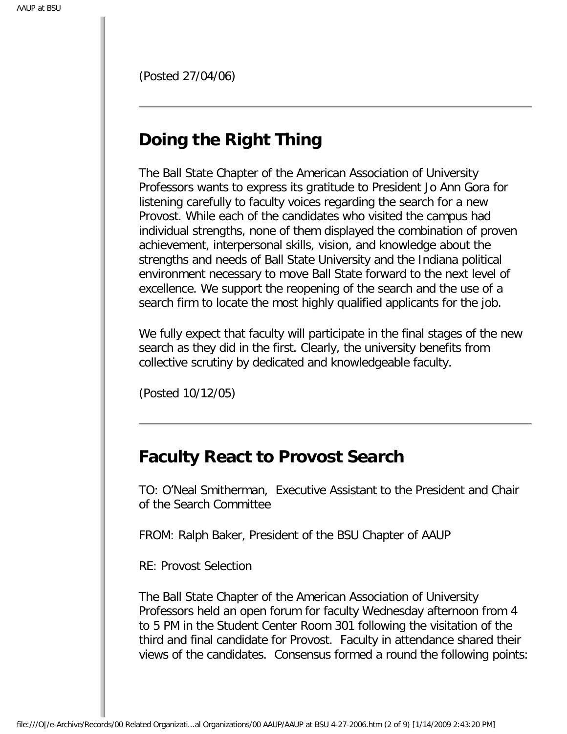(Posted 27/04/06)

## **Doing the Right Thing**

The Ball State Chapter of the American Association of University Professors wants to express its gratitude to President Jo Ann Gora for listening carefully to faculty voices regarding the search for a new Provost. While each of the candidates who visited the campus had individual strengths, none of them displayed the combination of proven achievement, interpersonal skills, vision, and knowledge about the strengths and needs of Ball State University and the Indiana political environment necessary to move Ball State forward to the next level of excellence. We support the reopening of the search and the use of a search firm to locate the most highly qualified applicants for the job.

We fully expect that faculty will participate in the final stages of the new search as they did in the first. Clearly, the university benefits from collective scrutiny by dedicated and knowledgeable faculty.

(Posted 10/12/05)

### **Faculty React to Provost Search**

TO: O'Neal Smitherman, Executive Assistant to the President and Chair of the Search Committee

FROM: Ralph Baker, President of the BSU Chapter of AAUP

RE: Provost Selection

The Ball State Chapter of the American Association of University Professors held an open forum for faculty Wednesday afternoon from 4 to 5 PM in the Student Center Room 301 following the visitation of the third and final candidate for Provost. Faculty in attendance shared their views of the candidates. Consensus formed a round the following points: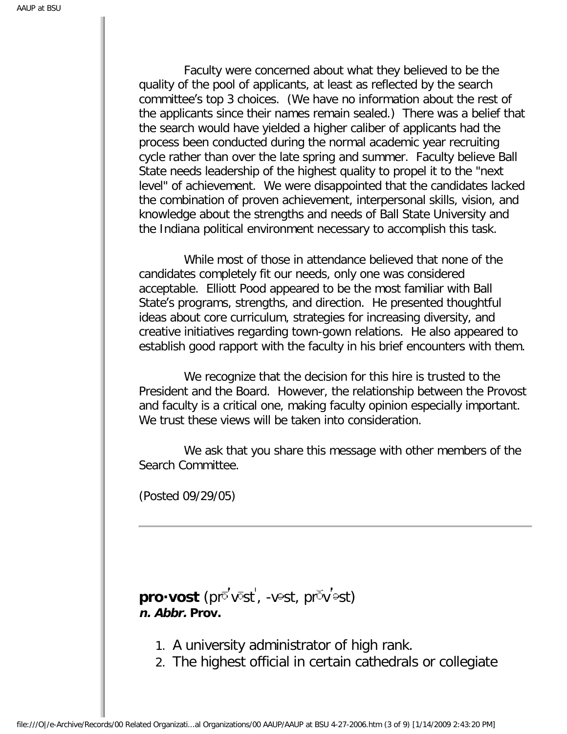Faculty were concerned about what they believed to be the quality of the pool of applicants, at least as reflected by the search committee's top 3 choices. (We have no information about the rest of the applicants since their names remain sealed.) There was a belief that the search would have yielded a higher caliber of applicants had the process been conducted during the normal academic year recruiting cycle rather than over the late spring and summer. Faculty believe Ball State needs leadership of the highest quality to propel it to the "next level" of achievement. We were disappointed that the candidates lacked the combination of proven achievement, interpersonal skills, vision, and knowledge about the strengths and needs of Ball State University and the Indiana political environment necessary to accomplish this task.

 While most of those in attendance believed that none of the candidates completely fit our needs, only one was considered acceptable. Elliott Pood appeared to be the most familiar with Ball State's programs, strengths, and direction. He presented thoughtful ideas about core curriculum, strategies for increasing diversity, and creative initiatives regarding town-gown relations. He also appeared to establish good rapport with the faculty in his brief encounters with them.

 We recognize that the decision for this hire is trusted to the President and the Board. However, the relationship between the Provost and faculty is a critical one, making faculty opinion especially important. We trust these views will be taken into consideration.

 We ask that you share this message with other members of the Search Committee.

(Posted 09/29/05)

pro·vost (pro'vost', -vest, prov'est) **n. Abbr. Prov.**

- 1. A university administrator of high rank.
- 2. The highest official in certain cathedrals or collegiate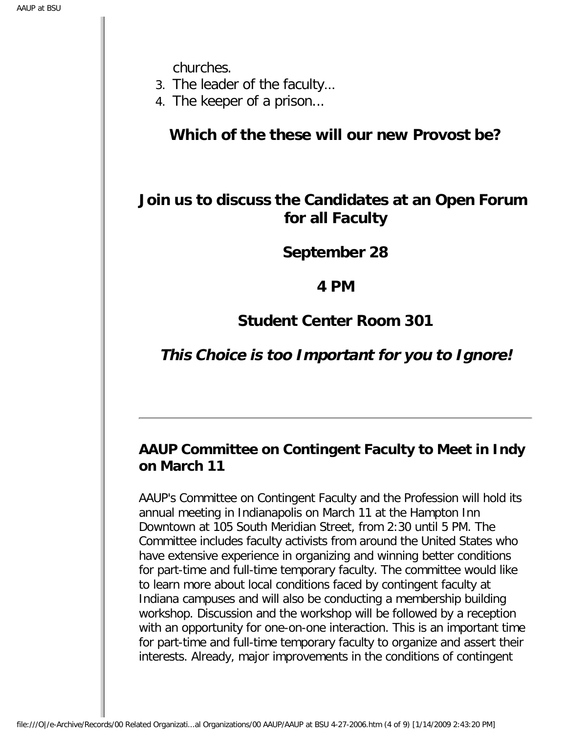churches.

- 3. The leader of the faculty…
- 4. The keeper of a prison...

**Which of the these will our new Provost be?**

### **Join us to discuss the Candidates at an Open Forum for all Faculty**

**September 28**

**4 PM**

**Student Center Room 301**

### **This Choice is too Important for you to Ignore!**

### **AAUP Committee on Contingent Faculty to Meet in Indy on March 11**

AAUP's Committee on Contingent Faculty and the Profession will hold its annual meeting in Indianapolis on March 11 at the Hampton Inn Downtown at 105 South Meridian Street, from 2:30 until 5 PM. The Committee includes faculty activists from around the United States who have extensive experience in organizing and winning better conditions for part-time and full-time temporary faculty. The committee would like to learn more about local conditions faced by contingent faculty at Indiana campuses and will also be conducting a membership building workshop. Discussion and the workshop will be followed by a reception with an opportunity for one-on-one interaction. This is an important time for part-time and full-time temporary faculty to organize and assert their interests. Already, major improvements in the conditions of contingent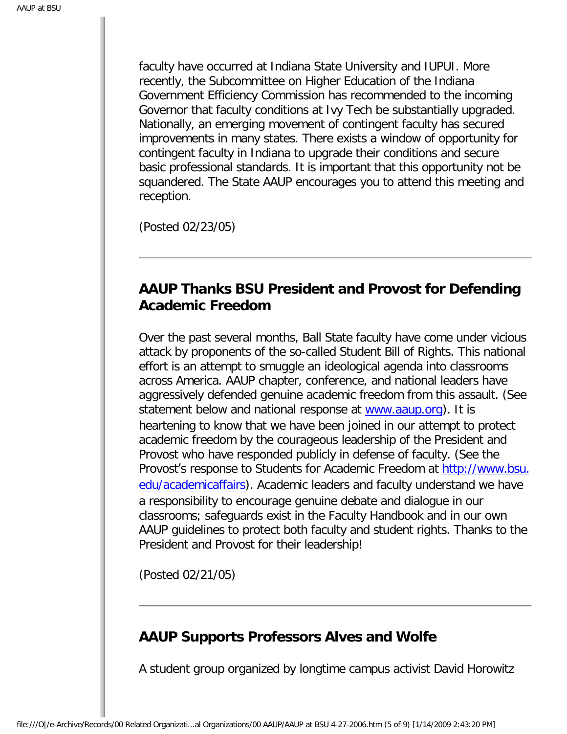faculty have occurred at Indiana State University and IUPUI. More recently, the Subcommittee on Higher Education of the Indiana Government Efficiency Commission has recommended to the incoming Governor that faculty conditions at Ivy Tech be substantially upgraded. Nationally, an emerging movement of contingent faculty has secured improvements in many states. There exists a window of opportunity for contingent faculty in Indiana to upgrade their conditions and secure basic professional standards. It is important that this opportunity not be squandered. The State AAUP encourages you to attend this meeting and reception.

(Posted 02/23/05)

#### **AAUP Thanks BSU President and Provost for Defending Academic Freedom**

Over the past several months, Ball State faculty have come under vicious attack by proponents of the so-called Student Bill of Rights. This national effort is an attempt to smuggle an ideological agenda into classrooms across America. AAUP chapter, conference, and national leaders have aggressively defended genuine academic freedom from this assault. (See statement below and national response at [www.aaup.org\)](http://www.aaup.org/). It is heartening to know that we have been joined in our attempt to protect academic freedom by the courageous leadership of the President and Provost who have responded publicly in defense of faculty. (See the Provost's response to Students for Academic Freedom at [http://www.bsu.](http://www.bsu.edu/academicaffairs) [edu/academicaffairs\)](http://www.bsu.edu/academicaffairs). Academic leaders and faculty understand we have a responsibility to encourage genuine debate and dialogue in our classrooms; safeguards exist in the Faculty Handbook and in our own AAUP guidelines to protect both faculty and student rights. Thanks to the President and Provost for their leadership!

(Posted 02/21/05)

### **AAUP Supports Professors Alves and Wolfe**

A student group organized by longtime campus activist David Horowitz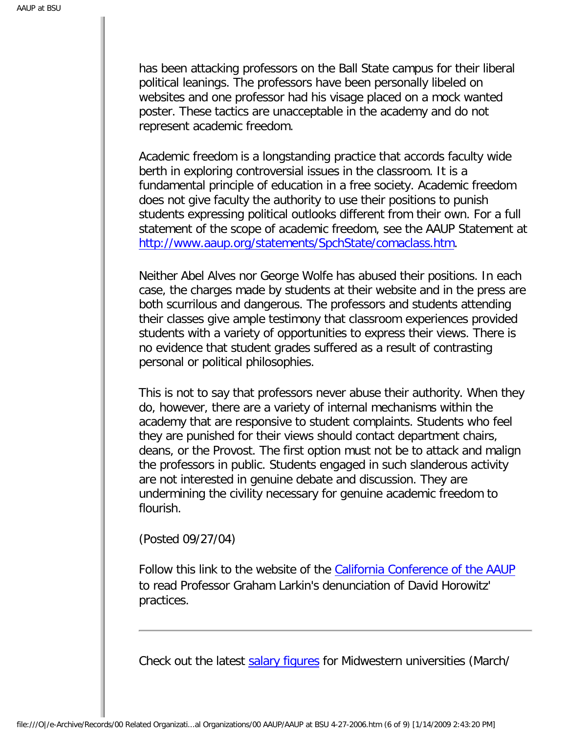has been attacking professors on the Ball State campus for their liberal political leanings. The professors have been personally libeled on websites and one professor had his visage placed on a mock wanted poster. These tactics are unacceptable in the academy and do not represent academic freedom.

Academic freedom is a longstanding practice that accords faculty wide berth in exploring controversial issues in the classroom. It is a fundamental principle of education in a free society. Academic freedom does not give faculty the authority to use their positions to punish students expressing political outlooks different from their own. For a full statement of the scope of academic freedom, see the AAUP Statement at <http://www.aaup.org/statements/SpchState/comaclass.htm>.

Neither Abel Alves nor George Wolfe has abused their positions. In each case, the charges made by students at their website and in the press are both scurrilous and dangerous. The professors and students attending their classes give ample testimony that classroom experiences provided students with a variety of opportunities to express their views. There is no evidence that student grades suffered as a result of contrasting personal or political philosophies.

This is not to say that professors never abuse their authority. When they do, however, there are a variety of internal mechanisms within the academy that are responsive to student complaints. Students who feel they are punished for their views should contact department chairs, deans, or the Provost. The first option must not be to attack and malign the professors in public. Students engaged in such slanderous activity are not interested in genuine debate and discussion. They are undermining the civility necessary for genuine academic freedom to flourish.

(Posted 09/27/04)

Follow this link to the website of the [California Conference of the AAUP](http://www.aaup-ca.org/abor.html) to read Professor Graham Larkin's denunciation of David Horowitz' practices.

Check out the latest [salary figures](http://www.aaupatbsu.org/news.htm) for Midwestern universities (March/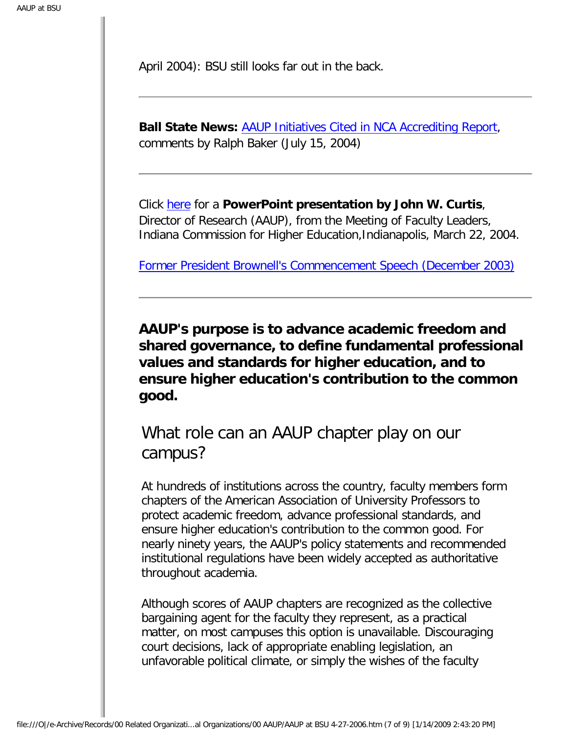April 2004): BSU still looks far out in the back.

**Ball State News:** [AAUP Initiatives Cited in NCA Accrediting Report,](http://www.aaupatbsu.org/AAUPInitiativesCitedinNCAAccreditingReport.htm) comments by Ralph Baker (July 15, 2004)

Click [here](http://www.aaupatbsu.org/Accountability.ppt) for a **PowerPoint presentation by John W. Curtis**, Director of Research (AAUP), from the Meeting of Faculty Leaders, Indiana Commission for Higher Education,Indianapolis, March 22, 2004.

[Former President Brownell's Commencement Speech \(December 2003\)](http://www.aaupatbsu.org/brownell.htm)

**AAUP's purpose is to advance academic freedom and shared governance, to define fundamental professional values and standards for higher education, and to ensure higher education's contribution to the common good.**

What role can an AAUP chapter play on our campus?

At hundreds of institutions across the country, faculty members form chapters of the American Association of University Professors to protect academic freedom, advance professional standards, and ensure higher education's contribution to the common good. For nearly ninety years, the AAUP's policy statements and recommended institutional regulations have been widely accepted as authoritative throughout academia.

Although scores of AAUP chapters are recognized as the collective bargaining agent for the faculty they represent, as a practical matter, on most campuses this option is unavailable. Discouraging court decisions, lack of appropriate enabling legislation, an unfavorable political climate, or simply the wishes of the faculty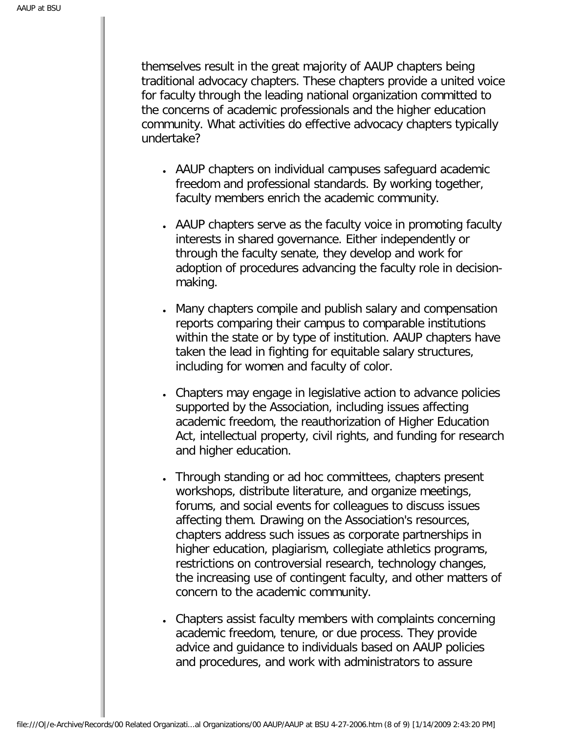themselves result in the great majority of AAUP chapters being traditional advocacy chapters. These chapters provide a united voice for faculty through the leading national organization committed to the concerns of academic professionals and the higher education community. What activities do effective advocacy chapters typically undertake?

- AAUP chapters on individual campuses safeguard academic freedom and professional standards. By working together, faculty members enrich the academic community.
- AAUP chapters serve as the faculty voice in promoting faculty interests in shared governance. Either independently or through the faculty senate, they develop and work for adoption of procedures advancing the faculty role in decisionmaking.
- Many chapters compile and publish salary and compensation reports comparing their campus to comparable institutions within the state or by type of institution. AAUP chapters have taken the lead in fighting for equitable salary structures, including for women and faculty of color.
- Chapters may engage in legislative action to advance policies supported by the Association, including issues affecting academic freedom, the reauthorization of Higher Education Act, intellectual property, civil rights, and funding for research and higher education.
- Through standing or ad hoc committees, chapters present workshops, distribute literature, and organize meetings, forums, and social events for colleagues to discuss issues affecting them. Drawing on the Association's resources, chapters address such issues as corporate partnerships in higher education, plagiarism, collegiate athletics programs, restrictions on controversial research, technology changes, the increasing use of contingent faculty, and other matters of concern to the academic community.
- Chapters assist faculty members with complaints concerning academic freedom, tenure, or due process. They provide advice and guidance to individuals based on AAUP policies and procedures, and work with administrators to assure